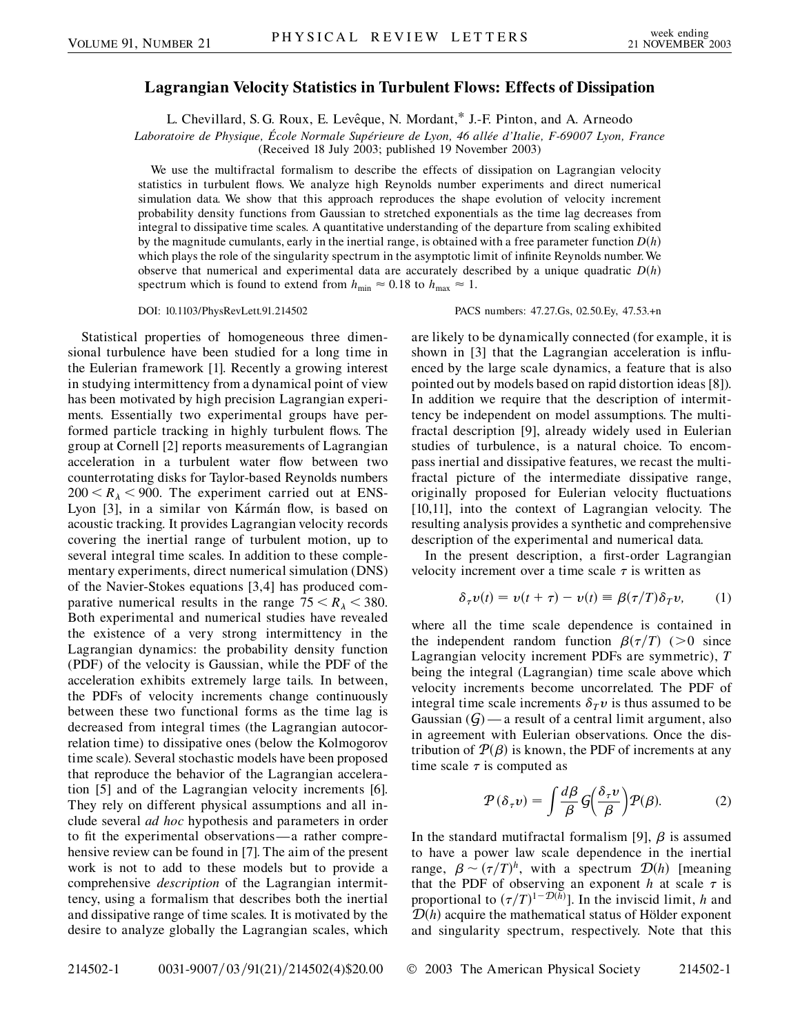## **Lagrangian Velocity Statistics in Turbulent Flows: Effects of Dissipation**

L. Chevillard, S. G. Roux, E. Levêque, N. Mordant,\* J.-F. Pinton, and A. Arneodo

*Laboratoire de Physique, E´ cole Normale Supe´rieure de Lyon, 46 alle´e d'Italie, F-69007 Lyon, France*

(Received 18 July 2003; published 19 November 2003)

We use the multifractal formalism to describe the effects of dissipation on Lagrangian velocity statistics in turbulent flows. We analyze high Reynolds number experiments and direct numerical simulation data. We show that this approach reproduces the shape evolution of velocity increment probability density functions from Gaussian to stretched exponentials as the time lag decreases from integral to dissipative time scales. A quantitative understanding of the departure from scaling exhibited by the magnitude cumulants, early in the inertial range, is obtained with a free parameter function  $D(h)$ which plays the role of the singularity spectrum in the asymptotic limit of infinite Reynolds number. We observe that numerical and experimental data are accurately described by a unique quadratic  $D(h)$ spectrum which is found to extend from  $h_{\text{min}} \approx 0.18$  to  $h_{\text{max}} \approx 1$ .

DOI: 10.1103/PhysRevLett.91.214502 PACS numbers: 47.27.Gs, 02.50.Ey, 47.53.+n

Statistical properties of homogeneous three dimensional turbulence have been studied for a long time in the Eulerian framework [1]. Recently a growing interest in studying intermittency from a dynamical point of view has been motivated by high precision Lagrangian experiments. Essentially two experimental groups have performed particle tracking in highly turbulent flows. The group at Cornell [2] reports measurements of Lagrangian acceleration in a turbulent water flow between two counterrotating disks for Taylor-based Reynolds numbers  $200 < R_{\lambda} < 900$ . The experiment carried out at ENS-Lyon [3], in a similar von Kármán flow, is based on acoustic tracking. It provides Lagrangian velocity records covering the inertial range of turbulent motion, up to several integral time scales. In addition to these complementary experiments, direct numerical simulation (DNS) of the Navier-Stokes equations [3,4] has produced comparative numerical results in the range  $75 < R_{\lambda} < 380$ . Both experimental and numerical studies have revealed the existence of a very strong intermittency in the Lagrangian dynamics: the probability density function (PDF) of the velocity is Gaussian, while the PDF of the acceleration exhibits extremely large tails. In between, the PDFs of velocity increments change continuously between these two functional forms as the time lag is decreased from integral times (the Lagrangian autocorrelation time) to dissipative ones (below the Kolmogorov time scale). Several stochastic models have been proposed that reproduce the behavior of the Lagrangian acceleration [5] and of the Lagrangian velocity increments [6]. They rely on different physical assumptions and all include several *ad hoc* hypothesis and parameters in order to fit the experimental observations—a rather comprehensive review can be found in [7]. The aim of the present work is not to add to these models but to provide a comprehensive *description* of the Lagrangian intermittency, using a formalism that describes both the inertial and dissipative range of time scales. It is motivated by the desire to analyze globally the Lagrangian scales, which are likely to be dynamically connected (for example, it is shown in [3] that the Lagrangian acceleration is influenced by the large scale dynamics, a feature that is also pointed out by models based on rapid distortion ideas [8]). In addition we require that the description of intermittency be independent on model assumptions. The multifractal description [9], already widely used in Eulerian studies of turbulence, is a natural choice. To encompass inertial and dissipative features, we recast the multifractal picture of the intermediate dissipative range, originally proposed for Eulerian velocity fluctuations [10,11], into the context of Lagrangian velocity. The resulting analysis provides a synthetic and comprehensive description of the experimental and numerical data.

In the present description, a first-order Lagrangian velocity increment over a time scale  $\tau$  is written as

$$
\delta_{\tau}v(t) = v(t + \tau) - v(t) \equiv \beta(\tau/T)\delta_T v, \qquad (1)
$$

where all the time scale dependence is contained in the independent random function  $\beta(\tau/T)$  (>0 since Lagrangian velocity increment PDFs are symmetric), *T* being the integral (Lagrangian) time scale above which velocity increments become uncorrelated. The PDF of integral time scale increments  $\delta_T v$  is thus assumed to be Gaussian  $(G)$  — a result of a central limit argument, also in agreement with Eulerian observations. Once the distribution of  $P(\beta)$  is known, the PDF of increments at any time scale  $\tau$  is computed as

$$
\mathcal{P}(\delta_{\tau}v) = \int \frac{d\beta}{\beta} \mathcal{G}\left(\frac{\delta_{\tau}v}{\beta}\right) \mathcal{P}(\beta). \tag{2}
$$

In the standard mutifractal formalism [9],  $\beta$  is assumed to have a power law scale dependence in the inertial range,  $\beta \sim (\tau/T)^h$ , with a spectrum  $\mathcal{D}(h)$  [meaning that the PDF of observing an exponent  $h$  at scale  $\tau$  is proportional to  $(\tau/T)^{1-\mathcal{D}(h)}$ ]. In the inviscid limit, *h* and  $D(h)$  acquire the mathematical status of Hölder exponent and singularity spectrum, respectively. Note that this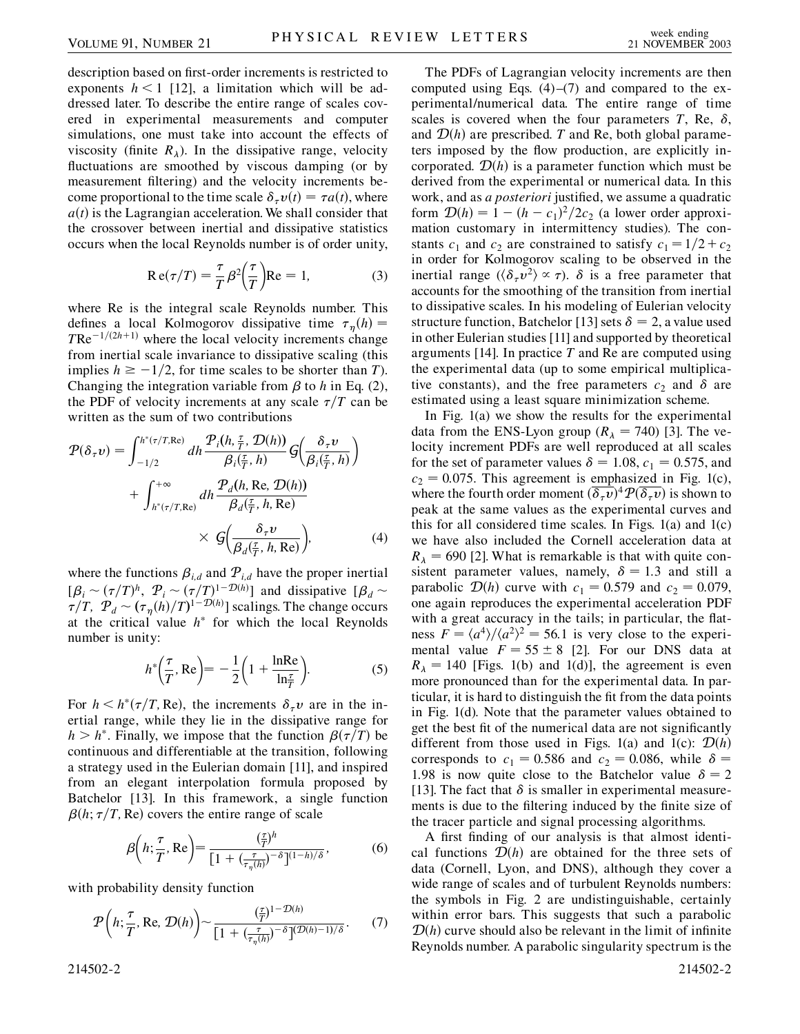description based on first-order increments is restricted to exponents  $h < 1$  [12], a limitation which will be addressed later. To describe the entire range of scales covered in experimental measurements and computer simulations, one must take into account the effects of viscosity (finite  $R_{\lambda}$ ). In the dissipative range, velocity fluctuations are smoothed by viscous damping (or by measurement filtering) and the velocity increments become proportional to the time scale  $\delta_{\tau} v(t) = \tau a(t)$ , where  $a(t)$  is the Lagrangian acceleration. We shall consider that the crossover between inertial and dissipative statistics occurs when the local Reynolds number is of order unity,

$$
Re(\tau/T) = \frac{\tau}{T} \beta^2 \left(\frac{\tau}{T}\right) Re = 1,
$$
 (3)

where Re is the integral scale Reynolds number. This defines a local Kolmogorov dissipative time  $\tau_{\eta}(h)$  =  $T\text{Re}^{-1/(2h+1)}$  where the local velocity increments change from inertial scale invariance to dissipative scaling (this implies  $h \ge -1/2$ , for time scales to be shorter than *T*). Changing the integration variable from  $\beta$  to *h* in Eq. (2), the PDF of velocity increments at any scale  $\tau/T$  can be written as the sum of two contributions

$$
\mathcal{P}(\delta_{\tau}\nu) = \int_{-1/2}^{h^*(\tau/T, \text{Re})} dh \frac{\mathcal{P}_i(h, \frac{\tau}{T}, \mathcal{D}(h))}{\beta_i(\frac{\tau}{T}, h)} \mathcal{G}\left(\frac{\delta_{\tau}\nu}{\beta_i(\frac{\tau}{T}, h)}\right) + \int_{h^*(\tau/T, \text{Re})}^{+\infty} dh \frac{\mathcal{P}_d(h, \text{Re}, \mathcal{D}(h))}{\beta_d(\frac{\tau}{T}, h, \text{Re})} \times \mathcal{G}\left(\frac{\delta_{\tau}\nu}{\beta_d(\frac{\tau}{T}, h, \text{Re})}\right),
$$
(4)

where the functions  $\beta_{i,d}$  and  $\mathcal{P}_{i,d}$  have the proper inertial  $[\beta_i \sim (\tau/T)^h$ ,  $\mathcal{P}_i \sim (\tau/T)^{1-\mathcal{D}(h)}$  and dissipative  $[\beta_d \sim$  $\tau/T$ ,  $\mathcal{P}_d \sim (\tau_\eta(h)/T)^{1-\mathcal{D}(h)}$  scalings. The change occurs at the critical value  $h^*$  for which the local Reynolds number is unity:

$$
h^*\left(\frac{\tau}{T}, \text{Re}\right) = -\frac{1}{2}\left(1 + \frac{\text{ln}\text{Re}}{\text{ln}\frac{\tau}{T}}\right). \tag{5}
$$

For  $h < h^*(\tau/T, Re)$ , the increments  $\delta_{\tau} v$  are in the inertial range, while they lie in the dissipative range for  $h > h^*$ . Finally, we impose that the function  $\beta(\tau/T)$  be continuous and differentiable at the transition, following a strategy used in the Eulerian domain [11], and inspired from an elegant interpolation formula proposed by Batchelor [13]. In this framework, a single function  $\beta(h; \tau/T, Re)$  covers the entire range of scale

$$
\beta\left(h; \frac{\tau}{T}, \text{Re}\right) = \frac{\left(\frac{\tau}{T}\right)^h}{\left[1 + \left(\frac{\tau}{\tau_\eta(h)}\right)^{-\delta}\right]^{(1-h)/\delta}},\tag{6}
$$

with probability density function

$$
\mathcal{P}\left(h; \frac{\tau}{T}, \text{Re}, \mathcal{D}(h)\right) \sim \frac{\left(\frac{\tau}{T}\right)^{1-\mathcal{D}(h)}}{\left[1 + \left(\frac{\tau}{\tau_{\eta}(h)}\right)^{-\delta}\right]^{(\mathcal{D}(h)-1)/\delta}}.
$$
 (7)

214502-2 214502-2

The PDFs of Lagrangian velocity increments are then computed using Eqs.  $(4)$ – $(7)$  and compared to the experimental/numerical data. The entire range of time scales is covered when the four parameters  $T$ , Re,  $\delta$ , and  $\mathcal{D}(h)$  are prescribed. *T* and Re, both global parameters imposed by the flow production, are explicitly incorporated.  $D(h)$  is a parameter function which must be derived from the experimental or numerical data. In this work, and as *a posteriori* justified, we assume a quadratic form  $\mathcal{D}(h) = 1 - (h - c_1)^2 / 2c_2$  (a lower order approximation customary in intermittency studies). The constants  $c_1$  and  $c_2$  are constrained to satisfy  $c_1 = 1/2 + c_2$ in order for Kolmogorov scaling to be observed in the inertial range  $(\langle \delta_\tau v^2 \rangle \propto \tau)$ .  $\delta$  is a free parameter that accounts for the smoothing of the transition from inertial to dissipative scales. In his modeling of Eulerian velocity structure function, Batchelor [13] sets  $\delta = 2$ , a value used in other Eulerian studies [11] and supported by theoretical arguments [14]. In practice *T* and Re are computed using the experimental data (up to some empirical multiplicative constants), and the free parameters  $c_2$  and  $\delta$  are estimated using a least square minimization scheme.

In Fig. 1(a) we show the results for the experimental data from the ENS-Lyon group  $(R_{\lambda} = 740)$  [3]. The velocity increment PDFs are well reproduced at all scales for the set of parameter values  $\delta = 1.08$ ,  $c_1 = 0.575$ , and  $c_2 = 0.075$ . This agreement is emphasized in Fig. 1(c), where the fourth order moment  $(\overline{\delta_{\tau} v})^4 \mathcal{P}(\overline{\delta_{\tau} v})$  is shown to peak at the same values as the experimental curves and this for all considered time scales. In Figs.  $1(a)$  and  $1(c)$ we have also included the Cornell acceleration data at  $R_{\lambda}$  = 690 [2]. What is remarkable is that with quite consistent parameter values, namely,  $\delta = 1.3$  and still a parabolic  $\mathcal{D}(h)$  curve with  $c_1 = 0.579$  and  $c_2 = 0.079$ , one again reproduces the experimental acceleration PDF with a great accuracy in the tails; in particular, the flatness  $F = \frac{a^4}{a^2^2} = 56.1$  is very close to the experimental value  $F = 55 \pm 8$  [2]. For our DNS data at  $R_{\lambda} = 140$  [Figs. 1(b) and 1(d)], the agreement is even more pronounced than for the experimental data. In particular, it is hard to distinguish the fit from the data points in Fig. 1(d). Note that the parameter values obtained to get the best fit of the numerical data are not significantly different from those used in Figs. 1(a) and 1(c):  $\mathcal{D}(h)$ corresponds to  $c_1 = 0.586$  and  $c_2 = 0.086$ , while  $\delta =$ 1.98 is now quite close to the Batchelor value  $\delta = 2$ [13]. The fact that  $\delta$  is smaller in experimental measurements is due to the filtering induced by the finite size of the tracer particle and signal processing algorithms.

A first finding of our analysis is that almost identical functions  $\mathcal{D}(h)$  are obtained for the three sets of data (Cornell, Lyon, and DNS), although they cover a wide range of scales and of turbulent Reynolds numbers: the symbols in Fig. 2 are undistinguishable, certainly within error bars. This suggests that such a parabolic  $D(h)$  curve should also be relevant in the limit of infinite Reynolds number. A parabolic singularity spectrum is the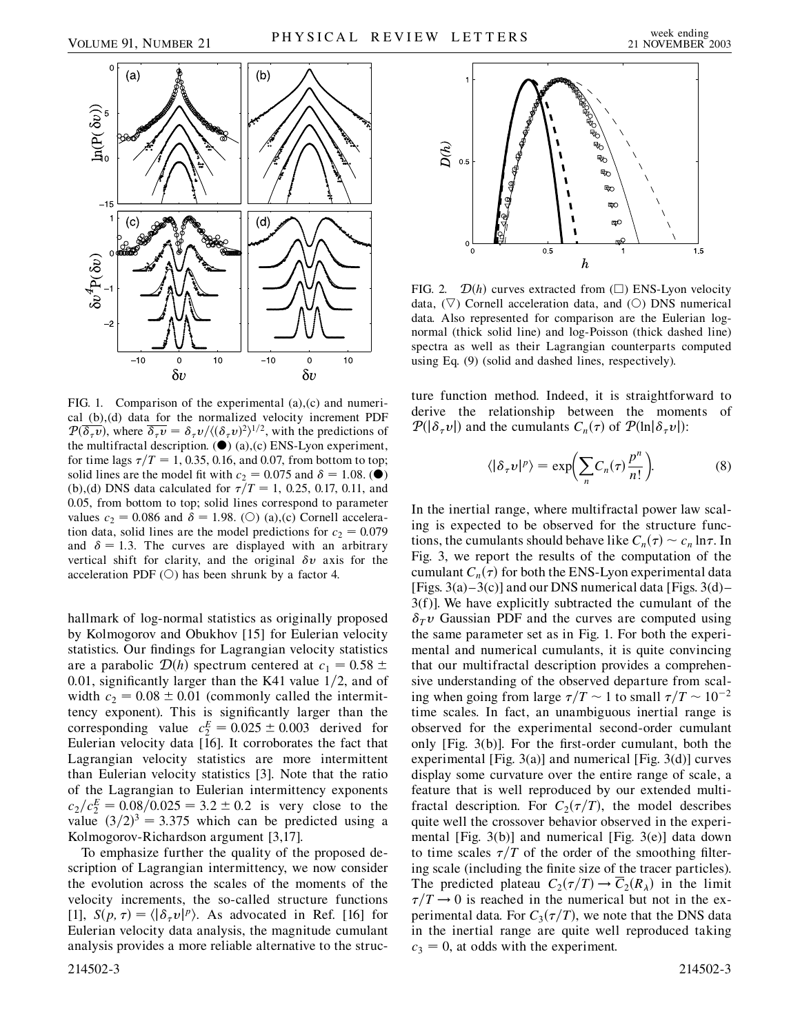



FIG. 1. Comparison of the experimental (a),(c) and numerical (b),(d) data for the normalized velocity increment PDF  $P(\overline{\delta_\tau v})$ , where  $\overline{\delta_\tau v} = \delta_\tau v / \langle (\delta_\tau v)^2 \rangle^{1/2}$ , with the predictions of the multifractal description.  $(①)$  (a),(c) ENS-Lyon experiment, for time lags  $\tau/T = 1, 0.35, 0.16,$  and 0.07, from bottom to top; solid lines are the model fit with  $c_2 = 0.075$  and  $\delta = 1.08$ . ( $\bullet$ ) (b),(d) DNS data calculated for  $\tau/T = 1$ , 0.25, 0.17, 0.11, and 0.05, from bottom to top; solid lines correspond to parameter values  $c_2 = 0.086$  and  $\delta = 1.98$ . (O) (a),(c) Cornell acceleration data, solid lines are the model predictions for  $c_2 = 0.079$ and  $\delta = 1.3$ . The curves are displayed with an arbitrary vertical shift for clarity, and the original  $\delta v$  axis for the acceleration PDF  $(O)$  has been shrunk by a factor 4.

hallmark of log-normal statistics as originally proposed by Kolmogorov and Obukhov [15] for Eulerian velocity statistics. Our findings for Lagrangian velocity statistics are a parabolic  $\mathcal{D}(h)$  spectrum centered at  $c_1 = 0.58 \pm 0.58$ 0.01, significantly larger than the K41 value 1/2, and of width  $c_2 = 0.08 \pm 0.01$  (commonly called the intermittency exponent). This is significantly larger than the corresponding value  $c_2^E = 0.025 \pm 0.003$  derived for Eulerian velocity data  $\overline{16}$ . It corroborates the fact that Lagrangian velocity statistics are more intermittent than Eulerian velocity statistics [3]. Note that the ratio of the Lagrangian to Eulerian intermittency exponents  $c_2/c_2^E = 0.08/0.025 = 3.2 \pm 0.2$  is very close to the value  $(3/2)^3 = 3.375$  which can be predicted using a Kolmogorov-Richardson argument [3,17].

To emphasize further the quality of the proposed description of Lagrangian intermittency, we now consider the evolution across the scales of the moments of the velocity increments, the so-called structure functions [1],  $S(p, \tau) = \langle |\delta_\tau v|^p \rangle$ . As advocated in Ref. [16] for Eulerian velocity data analysis, the magnitude cumulant analysis provides a more reliable alternative to the struc-214502-3 214502-3



FIG. 2.  $\mathcal{D}(h)$  curves extracted from  $(\square)$  ENS-Lyon velocity data,  $(\nabla)$  Cornell acceleration data, and  $(\bigcirc)$  DNS numerical data. Also represented for comparison are the Eulerian lognormal (thick solid line) and log-Poisson (thick dashed line) spectra as well as their Lagrangian counterparts computed using Eq. (9) (solid and dashed lines, respectively).

ture function method. Indeed, it is straightforward to derive the relationship between the moments of  $P(|\delta_\tau v|)$  and the cumulants  $C_n(\tau)$  of  $P(\ln|\delta_\tau v|)$ :

$$
\langle |\delta_\tau v|^p \rangle = \exp\biggl(\sum_n C_n(\tau) \frac{p^n}{n!}\biggr). \tag{8}
$$

In the inertial range, where multifractal power law scaling is expected to be observed for the structure functions, the cumulants should behave like  $C_n(\tau) \sim c_n \ln \tau$ . In Fig. 3, we report the results of the computation of the cumulant  $C_n(\tau)$  for both the ENS-Lyon experimental data [Figs.  $3(a) - 3(c)$ ] and our DNS numerical data [Figs.  $3(d)$  – 3(f)]. We have explicitly subtracted the cumulant of the  $\delta_T v$  Gaussian PDF and the curves are computed using the same parameter set as in Fig. 1. For both the experimental and numerical cumulants, it is quite convincing that our multifractal description provides a comprehensive understanding of the observed departure from scaling when going from large  $\tau/T \sim 1$  to small  $\tau/T \sim 10^{-2}$ time scales. In fact, an unambiguous inertial range is observed for the experimental second-order cumulant only [Fig. 3(b)]. For the first-order cumulant, both the experimental [Fig. 3(a)] and numerical [Fig. 3(d)] curves display some curvature over the entire range of scale, a feature that is well reproduced by our extended multifractal description. For  $C_2(\tau/T)$ , the model describes quite well the crossover behavior observed in the experimental [Fig. 3(b)] and numerical [Fig. 3(e)] data down to time scales  $\tau/T$  of the order of the smoothing filtering scale (including the finite size of the tracer particles). The predicted plateau  $C_2(\tau/T) \rightarrow \overline{C}_2(R_\lambda)$  in the limit  $\tau/T \rightarrow 0$  is reached in the numerical but not in the experimental data. For  $C_3(\tau/T)$ , we note that the DNS data in the inertial range are quite well reproduced taking  $c_3 = 0$ , at odds with the experiment.